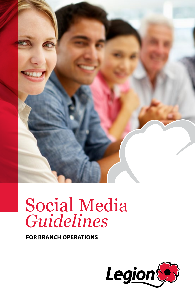

# Social Media *Guidelines*

### **FOR BRANCH OPERATIONS**

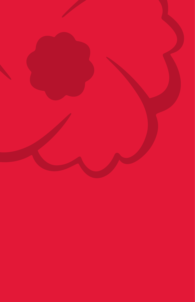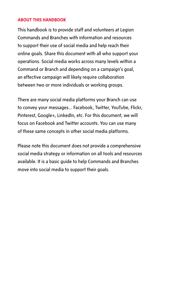#### **ABOUT THIS HANDBOOK**

This handbook is to provide staff and volunteers at Legion Commands and Branches with information and resources to support their use of social media and help reach their online goals. Share this document with all who support your operations. Social media works across many levels within a Command or Branch and depending on a campaign's goal, an effective campaign will likely require collaboration between two or more individuals or working groups.

There are many social media platforms your Branch can use to convey your messages… Facebook, Twitter, YouTube, Flickr, Pinterest, Google+, LinkedIn, etc. For this document, we will focus on Facebook and Twitter accounts. You can use many of these same concepts in other social media platforms.

Please note this document does not provide a comprehensive social media strategy or information on all tools and resources available. It is a basic guide to help Commands and Branches move into social media to support their goals.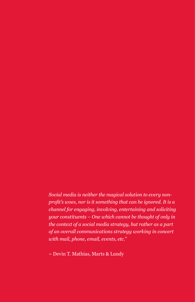*Social media is neither the magical solution to every nonprofit's woes, nor is it something that can be ignored. It is a channel for engaging, involving, entertaining and soliciting your constituents – One which cannot be thought of only in the context of a social media strategy, but rather as a part of an overall communications strategy working in concert with mail, phone, email, events, etc."*

~ Devin T. Mathias, Marts & Lundy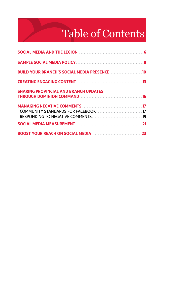# Table of Contents

| <b>BUILD YOUR BRANCH'S SOCIAL MEDIA PRESENCE 10</b> |  |
|-----------------------------------------------------|--|
|                                                     |  |
| <b>SHARING PROVINCIAL AND BRANCH UPDATES</b>        |  |
|                                                     |  |
|                                                     |  |
|                                                     |  |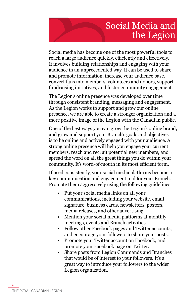# the Legion Social Media and

Social media has become one of the most powerful tools to reach a large audience quickly, efficiently and effectively. It involves building relationships and engaging with your audience in an unprecedented way. It can be used to share and promote information, increase your audience base, convert fans into members, volunteers and donors, support fundraising initiatives, and foster community engagement.

The Legion's online presence was developed over time through consistent branding, messaging and engagement. As the Legion works to support and grow our online presence, we are able to create a stronger organization and a more positive image of the Legion with the Canadian public.

One of the best ways you can grow the Legion's online brand, and grow and support your Branch's goals and objectives is to be online and actively engaged with your audience. A strong online presence will help you engage your current members, reach and recruit potential new members, and spread the word on all the great things you do within your community. It's word-of-mouth in its most efficient form.

If used consistently, your social media platforms become a key communication and engagement tool for your Branch. Promote them aggressively using the following guidelines:

- Put your social media links on all your communications, including your website, email signature, business cards, newsletters, posters, media releases, and other advertising.
- Mention your social media platforms at monthly meetings, events and Branch activities.
- Follow other Facebook pages and Twitter accounts, and encourage your followers to share your posts.
- Promote your Twitter account on Facebook, and promote your Facebook page on Twitter.
- Share posts from Legion Commands and Branches that would be of interest to your followers. It's a great way to introduce your followers to the wider Legion organization.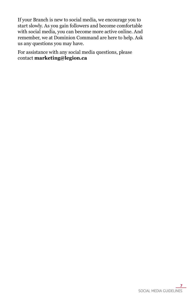If your Branch is new to social media, we encourage you to start slowly. As you gain followers and become comfortable with social media, you can become more active online. And remember, we at Dominion Command are here to help. Ask us any questions you may have.

For assistance with any social media questions, please contact **ma[rketing@legion.ca](mailto:marketing@legion.ca)**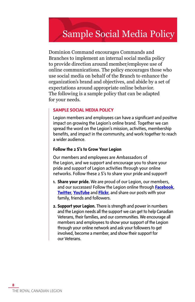# Sample Social Media Policy

Dominion Command encourages Commands and Branches to implement an internal social media policy to provide direction around member/employee use of online communications. The policy encourages those who use social media on behalf of the Branch to enhance the organization's brand and objectives, and abide by a set of expectations around appropriate online behavior. The following is a sample policy that can be adapted for your needs.

#### **SAMPLE SOCIAL MEDIA POLICY**

Legion members and employees can have a significant and positive impact on growing the Legion's online brand. Together we can spread the word on the Legion's mission, activities, membership benefits, and impact in the community, and work together to reach a wider audience.

#### **Follow the 2 S's to Grow Your Legion**

Our members and employees are Ambassadors of the Legion, and we support and encourage you to share your pride and support of Legion activities through your online networks. Follow these 2 S's to share your pride and support!

- **1. Share your pride.** We are proud of our Legion, our members, and our successes! Follow the Legion online through **[Facebook](http://www.facebook.com/CanadianLegion)**, **[Twitter](http://twitter.com/RCL_DC)**, **[YouTube](http://www.youtube.com/RCLDominionCommand)** and **[Flickr](http://www.flickr.com/photos/royalcanadianlegion/sets/)**, and share our posts with your family, friends and followers.
- **2. Support your Legion.** There is strength and power in numbers and the Legion needs all the support we can get to help Canadian Veterans, their families, and our communities. We encourage all members and employees to show your support of the Legion through your online network and ask your followers to get involved, become a member, and show their support for our Veterans.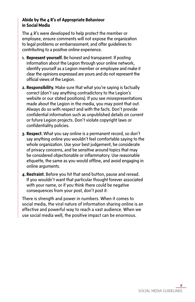#### **Abide by the 4 R's of Appropriate Behaviour in Social Media**

The 4 R's were developed to help protect the member or employee, ensure comments will not expose the organization to legal problems or embarrassment, and offer guidelines to contributing to a positive online experience.

- **1. Represent yourself.** Be honest and transparent. If posting information about the Legion through your online network, identify yourself as a Legion member or employee and make it clear the opinions expressed are yours and do not represent the official views of the Legion.
- **2. Responsibility.** Make sure that what you're saying is factually correct (don't say anything contradictory to the Legion's website or our stated positions). If you see misrepresentations made about the Legion in the media, you may point that out. Always do so with respect and with the facts. Don't provide confidential information such as unpublished details on current or future Legion projects. Don't violate copyright laws or confidentiality policies.
- **3. Respect.** What you say online is a permanent record, so don't say anything online you wouldn't feel comfortable saying to the whole organization. Use your best judgement, be considerate of privacy concerns, and be sensitive around topics that may be considered objectionable or inflammatory. Use reasonable etiquette, the same as you would offline, and avoid engaging in online arguments.
- **4. Restraint.** Before you hit that send button, pause and reread. If you wouldn't want that particular thought forever associated with your name, or if you think there could be negative consequences from your post, don't post it.

There is strength and power in numbers. When it comes to social media, the viral nature of information sharing online is an effective and powerful way to reach a vast audience. When we use social media well, the positive impact can be enormous.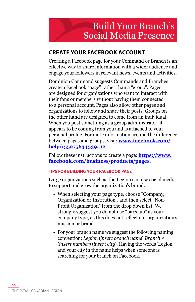

### **CREATE YOUR FACEBOOK ACCOUNT**

Creating a Facebook page for your Command or Branch is an effective way to share information with a wider audience and engage your followers in relevant news, events and activities.

Dominion Command suggests Commands and Branches create a Facebook "page" rather than a "group". Pages are designed for organizations who want to interact with their fans or members without having them connected to a personal account. Pages also allow other pages and organizations to follow and share their posts. Groups on the other hand are designed to come from an individual. When you post something as a group administrator, it appears to be coming from you and is attached to your personal profile. For more information around the difference between pages and groups, visit: **[www.facebook.com/](http://www.facebook.com/help/155275634539412) [help/155275634539412](http://www.facebook.com/help/155275634539412)**.

Follow these instructions to create a page: **ht[tps://www.](https://www.facebook.com/business/products/pages) [facebook.com/business/products/pages](https://www.facebook.com/business/products/pages)**.

#### **TIPS FOR BUILDING YOUR FACEBOOK PAGE**

Large organizations such as the Legion can use social media to support and grow the organization's brand.

- When selecting your page type, choose "Company, Organization or Institution", and then select "Non-Profit Organization" from the drop down list. We strongly suggest you do not use "bar/club" as your company type, as this does not reflect our organization's mission or brand.
- For your branch name we suggest the following naming convention: *Legion* (*insert branch name*) *Branch #* (*insert number*) (*insert city*). Having the words 'Legion' and your city in the name helps when someone is searching for your branch on Facebook.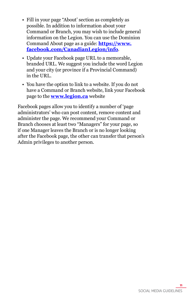- Fill in your page "About' section as completely as possible. In addition to information about your Command or Branch, you may wish to include general information on the Legion. You can use the Dominion Command About page as a guide: **[https://www.](https://www.facebook.com/CanadianLegion/info) [facebook.com/CanadianLegion/info](https://www.facebook.com/CanadianLegion/info)**.
- Update your Facebook page URL to a memorable, branded URL. We suggest you include the word Legion and your city (or province if a Provincial Command) in the URL.
- You have the option to link to a website. If you do not have a Command or Branch website, link your Facebook page to the **[www.legion.ca](http://www.legion.ca/)** website

Facebook pages allow you to identify a number of 'page administrators' who can post content, remove content and administer the page. We recommend your Command or Branch chooses at least two "Managers" for your page, so if one Manager leaves the Branch or is no longer looking after the Facebook page, the other can transfer that person's Admin privileges to another person.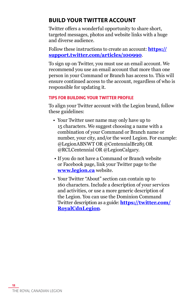### **BUILD YOUR TWITTER ACCOUNT**

Twitter offers a wonderful opportunity to share short, targeted messages, photos and website links with a huge and diverse audience.

Follow these instructions to create an account: **[https://](https://support.twitter.com/articles/100990) [support.twitter.com/articles/100990](https://support.twitter.com/articles/100990)**.

To sign up on Twitter, you must use an email account. We recommend you use an email account that more than one person in your Command or Branch has access to. This will ensure continued access to the account, regardless of who is responsible for updating it.

#### **TIPS FOR BUILDING YOUR TWITTER PROFILE**

To align your Twitter account with the Legion brand, follow these guidelines:

- Your Twitter user name may only have up to 15 characters. We suggest choosing a name with a combination of your Command or Branch name or number, your city, and/or the word Legion. For example: @LegionABNWT OR @CentennialBr285 OR @RCLCentennial OR @LegionCalgary.
- If you do not have a Command or Branch website or Facebook page, link your Twitter page to the **[www.legion.ca](http://www.legion.ca/)** website.
- Your Twitter "About" section can contain up to 160 characters. Include a description of your services and activities, or use a more generic description of the Legion. You can use the Dominion Command Twitter description as a guide: **[https://twitter.com](https://twitter.com/RoyalCdnLegion)/ RoyalCdnLegion**.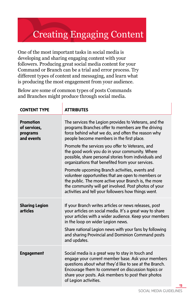# Creating Engaging Content

One of the most important tasks in social media is developing and sharing engaging content with your followers. Producing great social media content for your Command or Branch can be a trial and error process. Try different types of content and messaging, and learn what is producing the most engagement from your audience.

Below are some of common types of posts Commands and Branches might produce through social media.

| <b>CONTENT TYPE</b>                                        | <b>ATTRIBUTES</b>                                                                                                                                                                                                                                                                                   |
|------------------------------------------------------------|-----------------------------------------------------------------------------------------------------------------------------------------------------------------------------------------------------------------------------------------------------------------------------------------------------|
| <b>Promotion</b><br>of services.<br>programs<br>and events | The services the Legion provides to Veterans, and the<br>programs Branches offer to members are the driving<br>force behind what we do, and often the reason why<br>people become members in the first place.                                                                                       |
|                                                            | Promote the services you offer to Veterans, and<br>the good work you do in your community. Where<br>possible, share personal stories from individuals and<br>organizations that benefited from your services.                                                                                       |
|                                                            | Promote upcoming Branch activities, events and<br>volunteer opportunities that are open to members or<br>the public. The more active your Branch is, the more<br>the community will get involved. Post photos of your<br>activities and tell your followers how things went.                        |
| <b>Sharing Legion</b><br>articles                          | If your Branch writes articles or news releases, post<br>your articles on social media. It's a great way to share<br>your articles with a wider audience. Keep your members<br>in the loop on wider Legion news.<br>Share national Legion news with your fans by following                          |
|                                                            | and sharing Provincial and Dominion Command posts<br>and updates.                                                                                                                                                                                                                                   |
| <b>Engagement</b>                                          | Social media is a great way to stay in touch and<br>engage your current member base. Ask your members<br>questions about what they'd like to see at the Branch.<br>Encourage them to comment on discussion topics or<br>share your posts. Ask members to post their photos<br>of Legion activities. |

**13**

Ï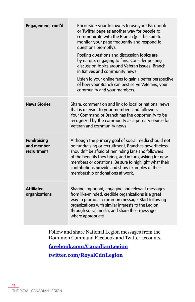| Engagement, cont'd                              | Encourage your followers to use your Facebook<br>or Twitter page as another way for people to<br>communicate with the Branch (just be sure to<br>monitor your page frequently and respond to<br>questions promptly).                                                                                                                                                            |  |
|-------------------------------------------------|---------------------------------------------------------------------------------------------------------------------------------------------------------------------------------------------------------------------------------------------------------------------------------------------------------------------------------------------------------------------------------|--|
|                                                 | Posting questions and discussion topics are,<br>by nature, engaging to fans. Consider posting<br>discussion topics around Veteran issues, Branch<br>initiatives and community news.                                                                                                                                                                                             |  |
|                                                 | Listen to your online fans to gain a better perspective<br>of how your Branch can best serve Veterans, your<br>community and your members.                                                                                                                                                                                                                                      |  |
| <b>News Stories</b>                             | Share, comment on and link to local or national news<br>that is relevant to your members and followers.<br>Your Command or Branch has the opportunity to be<br>recognized by the community as a primary source for<br>Veteran and community news.                                                                                                                               |  |
| <b>Fundraising</b><br>and member<br>recruitment | Although the primary goal of social media should not<br>be fundraising or recruitment, Branches nevertheless<br>shouldn't be afraid of reminding fans and followers<br>of the benefits they bring, and in turn, asking for new<br>members or donations. Be sure to highlight what their<br>contributions provide and show examples of their<br>membership or donations at work. |  |
| <b>Affiliated</b><br>organizations              | Sharing important, engaging and relevant messages<br>from like-minded, credible organizations is a great<br>way to promote a common message. Start following<br>organizations with similar interests to the Legion<br>through social media, and share their messages<br>where appropriate.                                                                                      |  |

Follow and share National Legion messages from the Dominion Command Facebook and Twitter accounts.

**[facebook.com/CanadianLegion](http://facebook.com/CanadianLegion) [twitter.com/RoyalCdnLegion](http://twitter.com/RoyalCdnLegion)**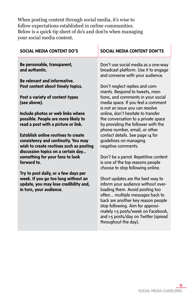When posting content through social media, it's wise to follow expectations established in online communities. Below is a quick tip sheet of do's and don'ts when managing your social media content.

| <b>SOCIAL MEDIA CONTENT DO'S</b>                                                                                                                                                                                                                                                                                                                                                                                                                                                                                                                                                                                                                                    | <b>SOCIAL MEDIA CONTENT DON'TS</b>                                                                                                                                                                                                                                                                                                                                                                                                                                                                                                                                                                                                                                                                                                                                                                                                                                                                                                                                   |
|---------------------------------------------------------------------------------------------------------------------------------------------------------------------------------------------------------------------------------------------------------------------------------------------------------------------------------------------------------------------------------------------------------------------------------------------------------------------------------------------------------------------------------------------------------------------------------------------------------------------------------------------------------------------|----------------------------------------------------------------------------------------------------------------------------------------------------------------------------------------------------------------------------------------------------------------------------------------------------------------------------------------------------------------------------------------------------------------------------------------------------------------------------------------------------------------------------------------------------------------------------------------------------------------------------------------------------------------------------------------------------------------------------------------------------------------------------------------------------------------------------------------------------------------------------------------------------------------------------------------------------------------------|
| Be personable, transparent,<br>and authentic.<br>Be relevant and informative.<br>Post content about timely topics.<br>Post a variety of content types<br>(see above).<br>Include photos or web links where<br>possible. People are more likely to<br>read a post with a picture or link.<br><b>Establish online routines to create</b><br>consistency and continuity. You may<br>wish to create routines such as posting<br>discussion topics on a certain day<br>something for your fans to look<br>forward to.<br>Try to post daily, or a few days per<br>week. If you go too long without an<br>update, you may lose credibility and,<br>in turn, your audience. | Don't use social media as a one-way<br>broadcast platform. Use it to engage<br>and converse with your audience.<br>Don't neglect replies and com-<br>ments. Respond to tweets, men-<br>tions, and comments in your social<br>media space. If you feel a comment<br>is not an issue you can resolve<br>online, don't hesitate to transfer<br>the conversation to a private space<br>by providing the follower with the<br>phone number, email, or other<br>contact details. See page 14 for<br>quidelines on managing<br>negative comments.<br>Don't be a parrot. Repetitive content<br>is one of the top reasons people<br>choose to stop following online.<br>Short updates are the best way to<br>inform your audience without over-<br>loading them. Avoid posting too<br>often multiple messages back to<br>back are another key reason people<br>stop following. Aim for approxi-<br>mately 1-5 posts/week on Facebook,<br>and 1-5 posts/day on Twitter (spread |
|                                                                                                                                                                                                                                                                                                                                                                                                                                                                                                                                                                                                                                                                     | throughout the day).                                                                                                                                                                                                                                                                                                                                                                                                                                                                                                                                                                                                                                                                                                                                                                                                                                                                                                                                                 |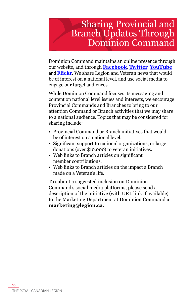## Sharing Provincial and Branch Updates Through Dominion Command

Dominion Command maintains an online presence through our website, and through **[Facebook](http://www.facebook.com/CanadianLegion)**, **[Twitter](http://twitter.com/RCL_DC)**, **[YouTube](http://www.youtube.com/RCLDominionCommand)** and **[Flickr](http://www.flickr.com/photos/royalcanadianlegion/sets/)**. We share Legion and Veteran news that would be of interest on a national level, and use social media to engage our target audiences.

While Dominion Command focuses its messaging and content on national level issues and interests, we encourage Provincial Commands and Branches to bring to our attention Command or Branch activities that we may share to a national audience. Topics that may be considered for sharing include:

- Provincial Command or Branch initiatives that would be of interest on a national level.
- Significant support to national organizations, or large donations (over \$10,000) to veteran initiatives.
- Web links to Branch articles on significant member contributions.
- Web links to Branch articles on the impact a Branch made on a Veteran's life.

To submit a suggested inclusion on Dominion Command's social media platforms, please send a description of the initiative (with URL link if available) to the Marketing Department at Dominion Command at **[marketing@legion.ca](mailto:marketing@legion.ca)**.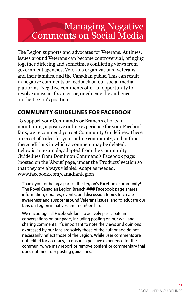## Managing Negative Comments on Social Media

The Legion supports and advocates for Veterans. At times, issues around Veterans can become controversial, bringing together differing and sometimes conflicting views from government agencies, Veterans organizations, Veterans and their families, and the Canadian public. This can result in negative comments or feedback on our social media platforms. Negative comments offer an opportunity to resolve an issue, fix an error, or educate the audience on the Legion's position.

### **COMMUNITY GUIDELINES FOR FACEBOOK**

To support your Command's or Branch's efforts in maintaining a positive online experience for your Facebook fans, we recommend you set Community Guidelines. These are a set of 'rules' for your online community, and outlines the conditions in which a comment may be deleted. Below is an example, adapted from the Community Guidelines from Dominion Command's Facebook page: (posted on the 'About' page, under the 'Products' section so that they are always visible). Adapt as needed. www.facebook.com/canadianlegion

Thank you for being a part of the Legion's Facebook community! The Royal Canadian Legion Branch ### Facebook page shares information, updates, events, and discussion topics to create awareness and support around Veterans issues, and to educate our fans on Legion initiatives and membership.

We encourage all Facebook fans to actively participate in conversations on our page, including posting on our wall and sharing comments. It's important to note the views and opinions expressed by our fans are solely those of the author and do not necessarily reflect those of the Legion. While user comments are not edited for accuracy, to ensure a positive experience for the community, we may report or remove content or commentary that does not meet our posting quidelines.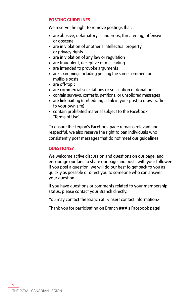#### **POSTING GUIDELINES**

We reserve the right to remove postings that:

- are abusive, defamatory, slanderous, threatening, offensive or obscene
- are in violation of another's intellectual property or privacy rights
- are in violation of any law or regulation
- are fraudulent, deceptive or misleading
- are intended to provoke arguments
- are spamming, including posting the same comment on multiple posts
- are off-topic
- are commercial solicitations or solicitation of donations
- contain surveys, contests, petitions, or unsolicited messages
- are link baiting (embedding a link in your post to draw traffic to your own site)
- contain prohibited material subject to the Facebook ['Terms of Use'](https://www.facebook.com/legal/terms).

To ensure the Legion's Facebook page remains relevant and respectful, we also reserve the right to ban individuals who consistently post messages that do not meet our guidelines.

#### **QUESTIONS?**

We welcome active discussion and questions on our page, and encourage our fans to share our page and posts with your followers. If you post a question, we will do our best to get back to you as quickly as possible or direct you to someone who can answer your question.

If you have questions or comments related to your membership status, please contact your Branch directly.

You may contact the Branch at: <insert contact information>

Thank you for participating on Branch ###'s Facebook page!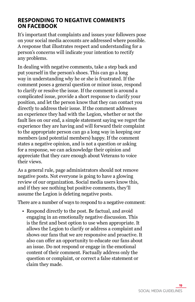### **RESPONDING TO NEGATIVE COMMENTS ON FACEBOOK**

It's important that complaints and issues your followers pose on your social media accounts are addressed where possible. A response that illustrates respect and understanding for a person's concerns will indicate your intention to rectify any problems.

In dealing with negative comments, take a step back and put yourself in the person's shoes. This can go a long way in understanding why he or she is frustrated. If the comment poses a general question or minor issue, respond to clarify or resolve the issue. If the comment is around a complicated issue, provide a short response to clarify your position, and let the person know that they can contact you directly to address their issue. If the comment addresses an experience they had with the Legion, whether or not the fault lies on our end, a simple statement saying we regret the experience they are having and will forward their complaint to the appropriate person can go a long way in keeping our members (and potential members) happy. If the comment states a negative opinion, and is not a question or asking for a response, we can acknowledge their opinion and appreciate that they care enough about Veterans to voice their views.

As a general rule, page administrators should not remove negative posts. Not everyone is going to have a glowing review of our organization. Social media users know this, and if they see nothing but positive comments, they'll assume the Legion is deleting negative posts.

There are a number of ways to respond to a negative comment:

• Respond directly to the post. Be factual, and avoid engaging in an emotionally negative discussion. This is the first and best option to use when appropriate. It allows the Legion to clarify or address a complaint and shows our fans that we are responsive and proactive. It also can offer an opportunity to educate our fans about an issue. Do not respond or engage in the emotional content of their comment. Factually address only the question or complaint, or correct a false statement or claim they made.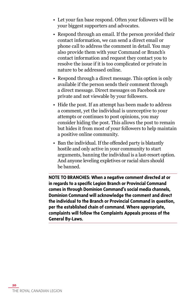- Let your fan base respond. Often your followers will be your biggest supporters and advocates.
- Respond through an email. If the person provided their contact information, we can send a direct email or phone call to address the comment in detail. You may also provide them with your Command or Branch's contact information and request they contact you to resolve the issue if it is too complicated or private in nature to be addressed online.
- Respond through a direct message. This option is only available if the person sends their comment through a direct message. Direct messages on Facebook are private and not viewable by your followers.
- Hide the post. If an attempt has been made to address a comment, yet the individual is unreceptive to your attempts or continues to post opinions, you may consider hiding the post. This allows the post to remain but hides it from most of your followers to help maintain a positive online community.
- Ban the individual. If the offended party is blatantly hostile and only active in your community to start arguments, banning the individual is a last-resort option. And anyone leveling expletives or racial slurs should be banned.

**NOTE TO BRANCHES: When a negative comment directed at or in regards to a specific Legion Branch or Provincial Command comes in through Dominion Command's social media channels, Dominion Command will acknowledge the comment and direct the individual to the Branch or Provincial Command in question, per the established chain of command. Where appropriate, complaints will follow the Complaints Appeals process of the General By-Laws.**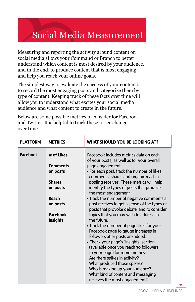# Social Media Measurement

Measuring and reporting the activity around content on social media allows your Command or Branch to better understand which content is most desired by your audience, and in the end, to produce content that is most engaging and help you reach your online goals.

The simplest way to evaluate the success of your content is to record the most engaging posts and categorize them by type of content. Keeping track of these facts over time will allow you to understand what excites your social media audience and what content to create in the future.

Below are some possible metrics to consider for Facebook and Twitter. It is helpful to track these to see change over time.

| <b>PLATFORM</b> | <b>METRICS</b>  | WHAT SHOULD YOU BE LOOKING AT?                                                             |
|-----------------|-----------------|--------------------------------------------------------------------------------------------|
| Facebook        | # of Likes      | Facebook includes metrics data on each<br>of your posts, as well as for your overall       |
|                 | <b>Comments</b> | page engagement.                                                                           |
|                 | on posts        | . For each post, track the number of likes,<br>comments, shares and organic reach a        |
|                 | <b>Shares</b>   | posting receives. These metrics will help                                                  |
|                 | on posts        | identify the types of posts that produce<br>the most engagement.                           |
|                 | Reach           | • Track the number of negative comments a                                                  |
|                 | on posts        | post receives to get a sense of the types of<br>posts that provoke debate, and to consider |
|                 | <b>Facebook</b> | topics that you may wish to address in                                                     |
|                 | <b>Insights</b> | the future.                                                                                |
|                 |                 | • Track the number of page likes for your                                                  |
|                 |                 | Facebook page to gauge increases in                                                        |
|                 |                 | followers after posts are added.                                                           |
|                 |                 | • Check your page's 'Insights' section                                                     |
|                 |                 | (available once you reach 30 followers                                                     |
|                 |                 | to your page) for more metrics:                                                            |
|                 |                 | Are there spikes in activity?                                                              |
|                 |                 | What produced those spikes?                                                                |
|                 |                 | Who is making up your audience?                                                            |
|                 |                 | What kind of content and messaging                                                         |
|                 |                 | receives the most engagement?                                                              |

**21**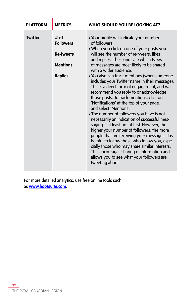| <b>PLATFORM</b> | <b>METRICS</b>                                                                    | <b>WHAT SHOULD YOU BE LOOKING AT?</b>                                                                                                                                                                                                                                                                                                                                                                                                                                                                                                                                                                                                                                                                                                                                                                                                                                                                                                                                                                                                 |
|-----------------|-----------------------------------------------------------------------------------|---------------------------------------------------------------------------------------------------------------------------------------------------------------------------------------------------------------------------------------------------------------------------------------------------------------------------------------------------------------------------------------------------------------------------------------------------------------------------------------------------------------------------------------------------------------------------------------------------------------------------------------------------------------------------------------------------------------------------------------------------------------------------------------------------------------------------------------------------------------------------------------------------------------------------------------------------------------------------------------------------------------------------------------|
| <b>Twitter</b>  | # of<br><b>Followers</b><br><b>Re-tweets</b><br><b>Mentions</b><br><b>Replies</b> | · Your profile will indicate your number<br>of followers<br>• When you click on one of your posts you<br>will see the number of re-tweets, likes<br>and replies. These indicate which types<br>of messages are most likely to be shared<br>with a wider audience.<br>• You also can track mentions (when someone<br>includes your Twitter name in their message).<br>This is a direct form of engagement, and we<br>recommend you reply to or acknowledge<br>those posts. To track mentions, click on<br>'Notifications' at the top of your page,<br>and select 'Mentions'.<br>. The number of followers you have is not<br>necessarily an indication of successful mes-<br>saging at least not at first. However, the<br>higher your number of followers, the more<br>people that are receiving your messages. It is<br>helpful to follow those who follow you, espe-<br>cially those who may share similar interests.<br>This encourages sharing of information and<br>allows you to see what your followers are<br>tweeting about. |

For more detailed analytics, use free online tools such as **[www.hootsuite.com](http://www.hootsuite.com)**.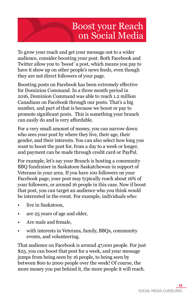# Boost your Reach on Social Media

To grow your reach and get your message out to a wider audience, consider boosting your post. Both Facebook and Twitter allow you to 'boost' a post, which means you pay to have it show up on other people's news feeds, even though they are not direct followers of your page.

Boosting posts on Facebook has been extremely effective for Dominion Command. In a three month period in 2016, Dominion Command was able to reach 1.2 million Canadians on Facebook through our posts. That's a big number, and part of that is because we boost or pay to promote significant posts. This is something your branch can easily do and is very affordable.

For a very small amount of money, you can narrow down who sees your post by where they live, their age, their gender, and their interests. You can also select how long you want to boost the post for, from a day to a week or longer, and payment can be made through credit card or PayPal.

For example, let's say your Branch is hosting a community BBQ fundraiser in Saskatoon Saskatchewan in support of Veterans in your area. If you have 100 followers on your Facebook page, your post may typically reach about 16% of your followers, or around 16 people in this case. Now if boost that post, you can target an audience who you think would be interested in the event. For example, individuals who:

- live in Saskatoon.
- are 25 years of age and older,
- Are male and female,
- with interests in Veterans, family, BBQs, community events, and volunteering.

That audience on Facebook is around 47,000 people. For just \$25, you can boost that post for a week, and your message jumps from being seen by 16 people, to being seen by between 800 to 2000 people over the week! Of course, the more money you put behind it, the more people it will reach.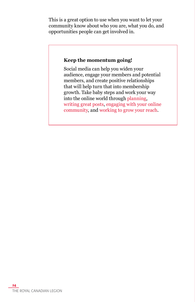This is a great option to use when you want to let your community know about who you are, what you do, and opportunities people can get involved in.

### **Keep the momentum going!**

Social media can help you widen your audience, engage your members and potential members, and create positive relationships that will help turn that into membership growth. Take baby steps and work your way into the online world through planning, writing great posts, engaging with your online community, and working to grow your reach.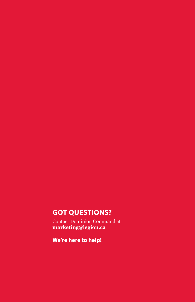### **GOT QUESTIONS?**

Contact Dominion Command at **marketing@legion.ca**

**We're here to help!**